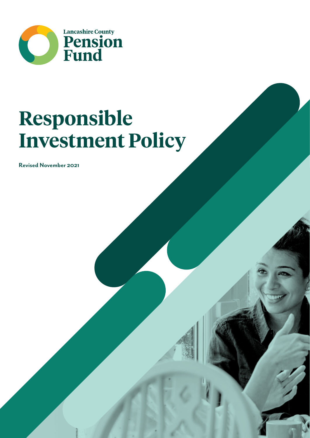

# **Responsible Investment Policy**

**Revised November 2021**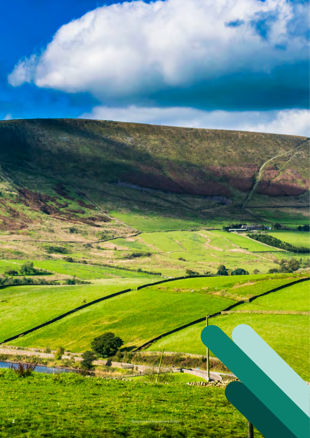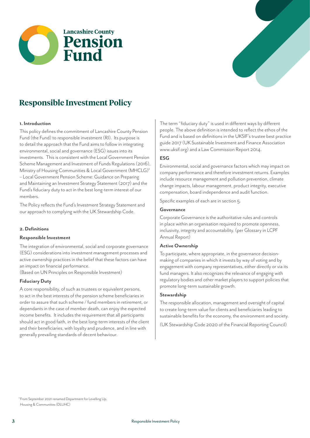



## **Responsible Investment Policy**

#### **1. Introduction**

This policy defines the commitment of Lancashire County Pension Fund (the Fund) to responsible investment (RI). Its purpose is to detail the approach that the Fund aims to follow in integrating environmental, social and governance (ESG) issues into its investments. This is consistent with the Local Government Pension Scheme Management and Investment of Funds Regulations (2016), Ministry of Housing Communities & Local Government (MHCLG)<sup>1</sup> – Local Government Pension Scheme: Guidance on Preparing and Maintaining an Investment Strategy Statement (2017) and the Fund's fiduciary duty to act in the best long-term interest of our members.

The Policy reflects the Fund's Investment Strategy Statement and our approach to complying with the UK Stewardship Code.

#### **2. Definitions**

#### **Responsible Investment**

The integration of environmental, social and corporate governance (ESG) considerations into investment management processes and active ownership practices in the belief that these factors can have an impact on financial performance.

(Based on UN Principles on Responsible Investment)

#### **Fiduciary Duty**

A core responsibility, of such as trustees or equivalent persons, to act in the best interests of the pension scheme beneficiaries in order to assure that such scheme / fund members in retirement, or dependants in the case of member death, can enjoy the expected income benefits. It includes the requirement that all participants should act in good faith, in the best long-term interests of the client and their beneficiaries, with loyalty and prudence, and in line with generally prevailing standards of decent behaviour.

The term "fiduciary duty" is used in different ways by different people. The above definition is intended to reflect the ethos of the Fund and is based on definitions in the UKSIF's trustee best practice guide 2017 (UK Sustainable Investment and Finance Association www.uksif.org) and a Law Commission Report 2014.

#### **ESG**

Environmental, social and governance factors which may impact on company performance and therefore investment returns. Examples include resource management and pollution prevention, climate change impacts, labour management, product integrity, executive compensation, board independence and audit function.

Specific examples of each are in section 5.

#### **Governance**

Corporate Governance is the authoritative rules and controls in place within an organisation required to promote openness, inclusivity, integrity and accountability. (per Glossary in LCPF Annual Report)

#### **Active Ownership**

To participate, where appropriate, in the governance decisionmaking of companies in which it invests by way of voting and by engagement with company representatives, either directly or via its fund managers. It also recognizes the relevance of engaging with regulatory bodies and other market players to support policies that promote long-term sustainable growth.

#### **Stewardship**

The responsible allocation, management and oversight of capital to create long-term value for clients and beneficiaries leading to sustainable benefits for the economy, the environment and society.

(UK Stewardship Code 2020 of the Financial Reporting Council)

<sup>&</sup>lt;sup>1</sup> From September 2021 renamed Department for Levelling Up, Housing & Communities (DLUHC)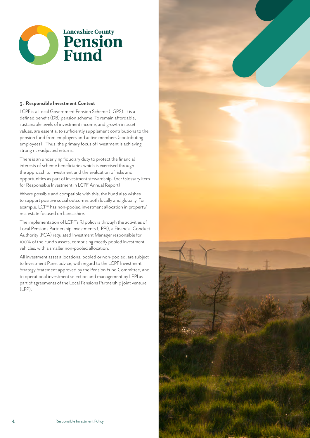

#### **3. Responsible Investment Context**

LCPF is a Local Government Pension Scheme (LGPS). It is a defined benefit (DB) pension scheme. To remain affordable, sustainable levels of investment income, and growth in asset values, are essential to sufficiently supplement contributions to the pension fund from employers and active members (contributing employees). Thus, the primary focus of investment is achieving strong risk-adjusted returns.

There is an underlying fiduciary duty to protect the financial interests of scheme beneficiaries which is exercised through the approach to investment and the evaluation of risks and opportunities as part of investment stewardship. (per Glossary item for Responsible Investment in LCPF Annual Report)

Where possible and compatible with this, the Fund also wishes to support positive social outcomes both locally and globally. For example, LCPF has non-pooled investment allocation in property/ real estate focused on Lancashire.

The implementation of LCPF's RI policy is through the activities of Local Pensions Partnership Investments (LPPI), a Financial Conduct Authority (FCA) regulated Investment Manager responsible for 100% of the Fund's assets, comprising mostly pooled investment vehicles, with a smaller non-pooled allocation.

All investment asset allocations, pooled or non-pooled, are subject to Investment Panel advice, with regard to the LCPF Investment Strategy Statement approved by the Pension Fund Committee, and to operational investment selection and management by LPPI as part of agreements of the Local Pensions Partnership joint venture (LPP).

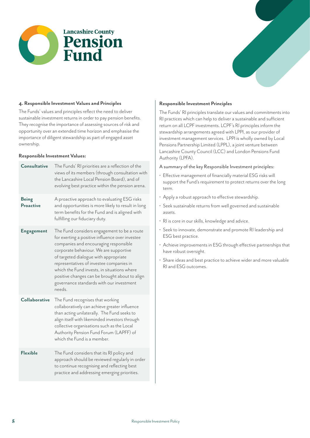



#### **4. Responsible Investment Values and Principles**

The Funds' values and principles reflect the need to deliver sustainable investment returns in order to pay pension benefits. They recognise the importance of assessing sources of risk and opportunity over an extended time horizon and emphasise the importance of diligent stewardship as part of engaged asset ownership.

#### **Responsible Investment Values:**

| <b>Consultative</b>              | The Funds' RI priorities are a reflection of the<br>views of its members (through consultation with<br>the Lancashire Local Pension Board), and of<br>evolving best practice within the pension arena.                                                                                                                                                                                                                        |
|----------------------------------|-------------------------------------------------------------------------------------------------------------------------------------------------------------------------------------------------------------------------------------------------------------------------------------------------------------------------------------------------------------------------------------------------------------------------------|
| <b>Being</b><br><b>Proactive</b> | A proactive approach to evaluating ESG risks<br>and opportunities is more likely to result in long<br>term benefits for the Fund and is aligned with<br>fulfilling our fiduciary duty.                                                                                                                                                                                                                                        |
| <b>Engagement</b>                | The Fund considers engagement to be a route<br>for exerting a positive influence over investee<br>companies and encouraging responsible<br>corporate behaviour. We are supportive<br>of targeted dialogue with appropriate<br>representatives of investee companies in<br>which the Fund invests, in situations where<br>positive changes can be brought about to align<br>governance standards with our investment<br>needs. |
| <b>Collaborative</b>             | The Fund recognises that working<br>collaboratively can achieve greater influence<br>than acting unilaterally. The Fund seeks to<br>align itself with likeminded investors through<br>collective organisations such as the Local<br>Authority Pension Fund Forum (LAPFF) of<br>which the Fund is a member.                                                                                                                    |
| <b>Flexible</b>                  | The Fund considers that its RI policy and<br>approach should be reviewed regularly in order<br>to continue recognising and reflecting best<br>practice and addressing emerging priorities.                                                                                                                                                                                                                                    |

#### **Responsible Investment Principles**

The Funds' RI principles translate our values and commitments into RI practices which can help to deliver a sustainable and sufficient return on all LCPF investments. LCPF's RI principles inform the stewardship arrangements agreed with LPPI, as our provider of investment management services. LPPI is wholly owned by Local Pensions Partnership Limited (LPPL), a joint venture between Lancashire County Council (LCC) and London Pensions Fund Authority (LPFA).

#### A summary of the key Responsible Investment principles:

- Effective management of financially material ESG risks will support the Fund's requirement to protect returns over the long term.
- Apply a robust approach to effective stewardship.
- Seek sustainable returns from well governed and sustainable assets.
- RI is core in our skills, knowledge and advice.
- Seek to innovate, demonstrate and promote RI leadership and ESG best practice.
- Achieve improvements in ESG through effective partnerships that have robust oversight.
- Share ideas and best practice to achieve wider and more valuable RI and ESG outcomes.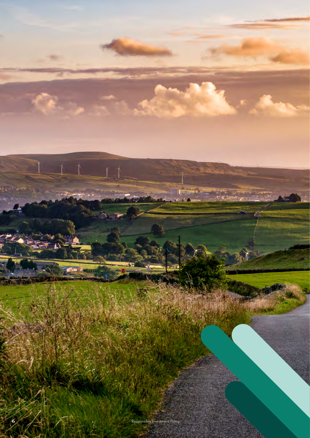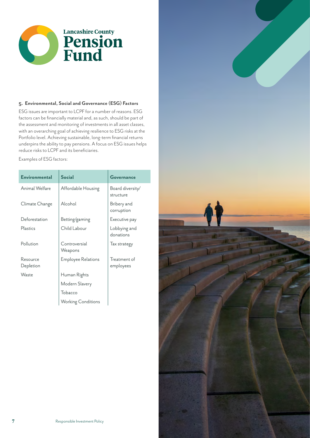

#### **5. Environmental, Social and Governance (ESG) Factors**

ESG issues are important to LCPF for a number of reasons. ESG factors can be financially material and, as such, should be part of the assessment and monitoring of investments in all asset classes, with an overarching goal of achieving resilience to ESG risks at the Portfolio level. Achieving sustainable, long-term financial returns underpins the ability to pay pensions. A focus on ESG issues helps reduce risks to LCPF and its beneficiaries.

Examples of ESG factors:

| <b>Environmental</b>  | <b>Social</b>             | Governance                    |
|-----------------------|---------------------------|-------------------------------|
| Animal Welfare        | Affordable Housing        | Board diversity/<br>structure |
| Climate Change        | Alcohol                   | Bribery and<br>corruption     |
| Deforestation         | Betting/gaming            | Executive pay                 |
| Plastics              | Child Labour              | Lobbying and<br>donations     |
| Pollution             | Controversial<br>Weapons  | Tax strategy                  |
| Resource<br>Depletion | <b>Employee Relations</b> | Treatment of<br>employees     |
| Waste                 | Human Rights              |                               |
|                       | <b>Modern Slavery</b>     |                               |
|                       | Tobacco                   |                               |
|                       | <b>Working Conditions</b> |                               |

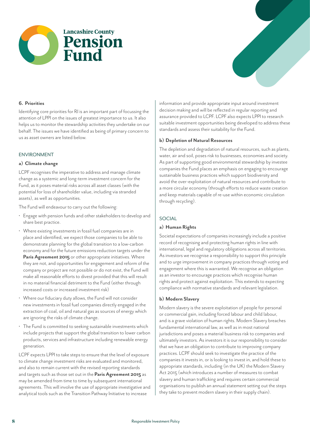



#### **6. Priorities**

Identifying core priorities for RI is an important part of focussing the attention of LPPI on the issues of greatest importance to us. It also helps us to monitor the stewardship activities they undertake on our behalf. The issues we have identified as being of primary concern to us as asset owners are listed below.

#### ENVIRONMENT

#### **a) Climate change**

LCPF recognises the imperative to address and manage climate change as a systemic and long-term investment concern for the Fund, as it poses material risks across all asset classes (with the potential for loss of shareholder value, including via stranded assets), as well as opportunities.

The Fund will endeavour to carry out the following:

- Engage with pension funds and other stakeholders to develop and share best practice.
- Where existing investments in fossil fuel companies are in place and identified, we expect those companies to be able to demonstrate planning for the global transition to a low-carbon economy and for the future emissions reduction targets under the Paris Agreement 2015 or other appropriate initiatives. Where they are not, and opportunities for engagement and reform of the company or project are not possible or do not exist, the Fund will make all reasonable efforts to divest provided that this will result in no material financial detriment to the Fund (either through increased costs or increased investment risk)
- Where our fiduciary duty allows, the Fund will not consider new investments in fossil fuel companies directly engaged in the extraction of coal, oil and natural gas as sources of energy which are ignoring the risks of climate change.
- The Fund is committed to seeking sustainable investments which include projects that support the global transition to lower carbon products, services and infrastructure including renewable energy generation.

LCPF expects LPPI to take steps to ensure that the level of exposure to climate change investment risks are evaluated and monitored, and also to remain current with the revised reporting standards and targets such as those set out in the **Paris Agreement 2015** as may be amended from time to time by subsequent international agreements. This will involve the use of appropriate investigative and analytical tools such as the Transition Pathway Initiative to increase

information and provide appropriate input around investment decision making and will be reflected in regular reporting and assurance provided to LCPF. LCPF also expects LPPI to research suitable investment opportunities being developed to address these standards and assess their suitability for the Fund.

#### **b) Depletion of Natural Resources**

The depletion and degradation of natural resources, such as plants, water, air and soil, poses risk to businesses, economies and society. As part of supporting good environmental stewardship by investee companies the Fund places an emphasis on engaging to encourage sustainable business practices which support biodiversity and avoid the over-exploitation of natural resources and contribute to a more circular economy (through efforts to reduce waste creation and keep materials capable of re-use within economic circulation through recycling).

#### **SOCIAL**

#### **a) Human Rights**

Societal expectations of companies increasingly include a positive record of recognising and protecting human rights in line with international, legal and regulatory obligations across all territories. As investors we recognise a responsibility to support this principle and to urge improvement in company practices through voting and engagement where this is warranted. We recognise an obligation as an investor to encourage practices which recognise human rights and protect against exploitation. This extends to expecting compliance with normative standards and relevant legislation.

#### **b) Modern Slavery**

Modern slavery is the severe exploitation of people for personal or commercial gain, including forced labour and child labour, and is a grave violation of human rights. Modern Slavery breaches fundamental international law, as well as in most national jurisdictions and poses a material business risk to companies and ultimately investors. As investors it is our responsibility to consider that we have an obligation to contribute to improving company practices. LCPF should seek to investigate the practice of the companies it invests in, or is looking to invest in, and hold these to appropriate standards, including (in the UK) the Modern Slavery Act 2015 (which introduces a number of measures to combat slavery and human trafficking and requires certain commercial organisations to publish an annual statement setting out the steps they take to prevent modern slavery in their supply chain).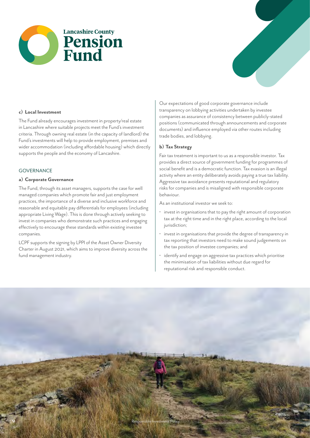



#### **c) Local Investment**

The Fund already encourages investment in property/real estate in Lancashire where suitable projects meet the Fund's investment criteria. Through owning real estate (in the capacity of landlord) the Fund's investments will help to provide employment, premises and wider accommodation (including affordable housing) which directly supports the people and the economy of Lancashire.

#### **GOVERNANCE**

#### **a) Corporate Governance**

The Fund, through its asset managers, supports the case for well managed companies which promote fair and just employment practices, the importance of a diverse and inclusive workforce and reasonable and equitable pay differentials for employees (including appropriate Living Wage). This is done through actively seeking to invest in companies who demonstrate such practices and engaging effectively to encourage these standards within existing investee companies.

LCPF supports the signing by LPPI of the Asset Owner Diversity Charter in August 2021, which aims to improve diversity across the fund management industry.

Our expectations of good corporate governance include transparency on lobbying activities undertaken by investee companies as assurance of consistency between publicly-stated positions (communicated through announcements and corporate documents) and influence employed via other routes including trade bodies, and lobbying.

#### **b) Tax Strategy**

Fair tax treatment is important to us as a responsible investor. Tax provides a direct source of government funding for programmes of social benefit and is a democratic function. Tax evasion is an illegal activity where an entity deliberately avoids paying a true tax liability. Aggressive tax avoidance presents reputational and regulatory risks for companies and is misaligned with responsible corporate behaviour.

As an institutional investor we seek to:

- invest in organisations that to pay the right amount of corporation tax at the right time and in the right place, according to the local jurisdiction;
- invest in organisations that provide the degree of transparency in tax reporting that investors need to make sound judgements on the tax position of investee companies; and
- identify and engage on aggressive tax practices which prioritise the minimisation of tax liabilities without due regard for reputational risk and responsible conduct.